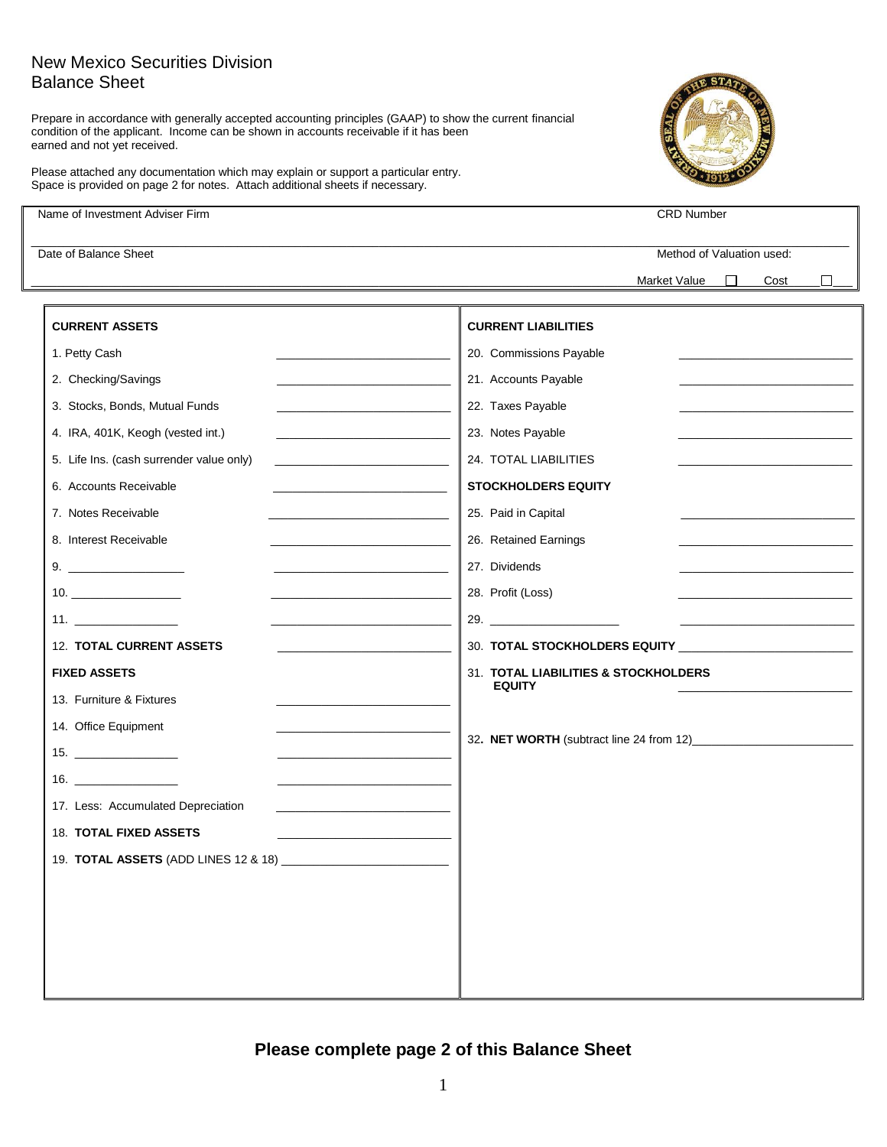## New Mexico Securities Division Balance Sheet

Prepare in accordance with generally accepted accounting principles (GAAP) to show the current financial condition of the applicant. Income can be shown in accounts receivable if it has been earned and not yet received.



Please attached any documentation which may explain or support a particular entry. Space is provided on page 2 for notes. Attach additional sheets if necessary.

| Name of Investment Adviser Firm                                                                                                                                                                                                                                | <b>CRD Number</b>                                                       |
|----------------------------------------------------------------------------------------------------------------------------------------------------------------------------------------------------------------------------------------------------------------|-------------------------------------------------------------------------|
| Date of Balance Sheet                                                                                                                                                                                                                                          | Method of Valuation used:                                               |
|                                                                                                                                                                                                                                                                | П<br>Market Value <sub>2</sub><br>Cost                                  |
| <b>CURRENT ASSETS</b>                                                                                                                                                                                                                                          | <b>CURRENT LIABILITIES</b>                                              |
| 1. Petty Cash                                                                                                                                                                                                                                                  | 20. Commissions Payable                                                 |
| 2. Checking/Savings                                                                                                                                                                                                                                            | 21. Accounts Payable                                                    |
| 3. Stocks, Bonds, Mutual Funds<br>the control of the control of the control of                                                                                                                                                                                 | 22. Taxes Payable                                                       |
| 4. IRA, 401K, Keogh (vested int.)<br>the control of the control of the control of the control of                                                                                                                                                               | 23. Notes Payable                                                       |
| 5. Life Ins. (cash surrender value only)                                                                                                                                                                                                                       | 24. TOTAL LIABILITIES                                                   |
| 6. Accounts Receivable<br>the control of the control of the control of the control of the control of                                                                                                                                                           | <b>STOCKHOLDERS EQUITY</b>                                              |
| 7. Notes Receivable<br><u> 1989 - Johann John Harry Harry Harry Harry Harry Harry Harry Harry Harry Harry Harry Harry Harry Harry Harry H</u>                                                                                                                  | 25. Paid in Capital                                                     |
| 8. Interest Receivable<br><u> 1989 - Johann Harry Harry Harry Harry Harry Harry Harry Harry Harry Harry Harry Harry Harry Harry Harry Harry Harry Harry Harry Harry Harry Harry Harry Harry Harry Harry Harry Harry Harry Harry Harry Harry Harry Harry Ha</u> | 26. Retained Earnings                                                   |
| the control of the control of the control of the control of                                                                                                                                                                                                    | 27. Dividends                                                           |
| $\begin{tabular}{c} 10. \end{tabular}$<br><u> 1989 - Johann John Harry Harry Harry Harry Harry Harry Harry Harry Harry Harry Harry Harry Harry Harry Harry H</u>                                                                                               | 28. Profit (Loss)                                                       |
|                                                                                                                                                                                                                                                                | 29. $\qquad \qquad$<br><u> 1990 - Johann Barn, mars ann an t-Amhain</u> |
| <b>12. TOTAL CURRENT ASSETS</b>                                                                                                                                                                                                                                |                                                                         |
| <b>FIXED ASSETS</b>                                                                                                                                                                                                                                            | 31. TOTAL LIABILITIES & STOCKHOLDERS                                    |
| 13. Furniture & Fixtures                                                                                                                                                                                                                                       | <b>EQUITY</b>                                                           |
| 14. Office Equipment                                                                                                                                                                                                                                           |                                                                         |
|                                                                                                                                                                                                                                                                |                                                                         |
|                                                                                                                                                                                                                                                                |                                                                         |
| 17. Less: Accumulated Depreciation                                                                                                                                                                                                                             |                                                                         |
| <b>18. TOTAL FIXED ASSETS</b>                                                                                                                                                                                                                                  |                                                                         |
| 19. TOTAL ASSETS (ADD LINES 12 & 18)                                                                                                                                                                                                                           |                                                                         |
|                                                                                                                                                                                                                                                                |                                                                         |
|                                                                                                                                                                                                                                                                |                                                                         |
|                                                                                                                                                                                                                                                                |                                                                         |
|                                                                                                                                                                                                                                                                |                                                                         |
|                                                                                                                                                                                                                                                                |                                                                         |

## **Please complete page 2 of this Balance Sheet**